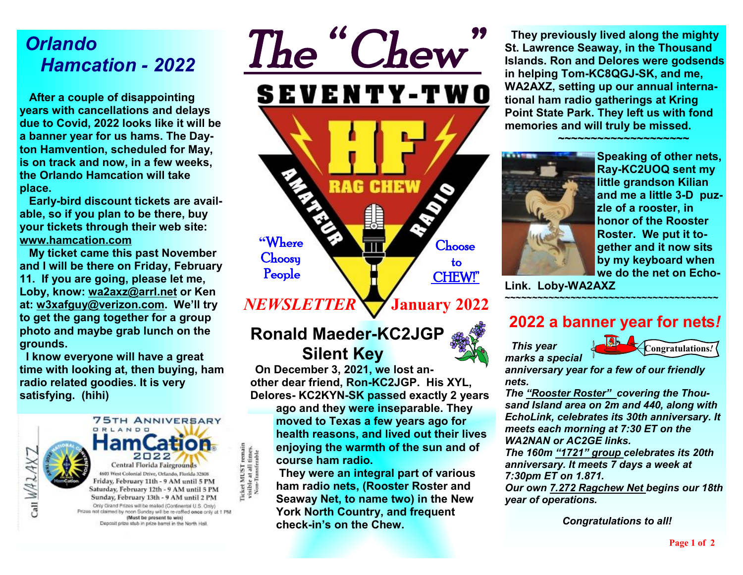# *Orlando Hamcation - 2022*

 **After a couple of disappointing years with cancellations and delays due to Covid, 2022 looks like it will be a banner year for us hams. The Dayton Hamvention, scheduled for May, is on track and now, in a few weeks, the Orlando Hamcation will take place.** 

 **Early-bird discount tickets are available, so if you plan to be there, buy your tickets through their web site: [www.hamcation.com](http://www.hamcation.com)** 

 **My ticket came this past November and I will be there on Friday, February 11. If you are going, please let me, Loby, know: [wa2axz@arrl.net](mailto:wa2axz@arrl.net) or Ken at: [w3xafguy@verizon.com](mailto:w3xafguy@verizon.com). We'll try to get the gang together for a group photo and maybe grab lunch on the grounds.** 

 **I know everyone will have a great time with looking at, then buying, ham radio related goodies. It is very satisfying. (hihi)** 



*The " Chew"*  SEVENTY-TWO CH **"**Where Choose **Choosy**  to People CHEW!"

*NEWSLETTER* **January 2022**

## **Ronald Maeder-KC2JGP Silent Key**

times.<br>erable

 **On December 3, 2021, we lost another dear friend, Ron-KC2JGP. His XYL, Delores- KC2KYN-SK passed exactly 2 years ago and they were inseparable. They moved to Texas a few years ago for health reasons, and lived out their lives enjoying the warmth of the sun and of course ham radio.** 

**They were an integral part of various ham radio nets, (Rooster Roster and Seaway Net, to name two) in the New York North Country, and frequent check-in's on the Chew.** 

 **They previously lived along the mighty St. Lawrence Seaway, in the Thousand Islands. Ron and Delores were godsends in helping Tom-KC8QGJ-SK, and me, WA2AXZ, setting up our annual international ham radio gatherings at Kring Point State Park. They left us with fond memories and will truly be missed.** 

 **~~~~~~~~~~~~~~~~~~~~**



**Speaking of other nets, Ray-KC2UOQ sent my little grandson Kilian and me a little 3-D puzzle of a rooster, in honor of the Rooster Roster. We put it together and it now sits by my keyboard when we do the net on Echo-**

**Link. Loby-WA2AXZ ~~~~~~~~~~~~~~~~~~~~~~~~~~~~~~~~~~~~~~~** 

### **2022 a banner year for nets***!*





*anniversary year for a few of our friendly nets.* 

*The "Rooster Roster" covering the Thousand Island area on 2m and 440, along with EchoLink, celebrates its 30th anniversary. It meets each morning at 7:30 ET on the WA2NAN or AC2GE links.* 

*The 160m "1721" group celebrates its 20th anniversary. It meets 7 days a week at 7:30pm ET on 1.871.* 

*Our own 7.272 Ragchew Net begins our 18th year of operations.* 

 *Congratulations to all!*